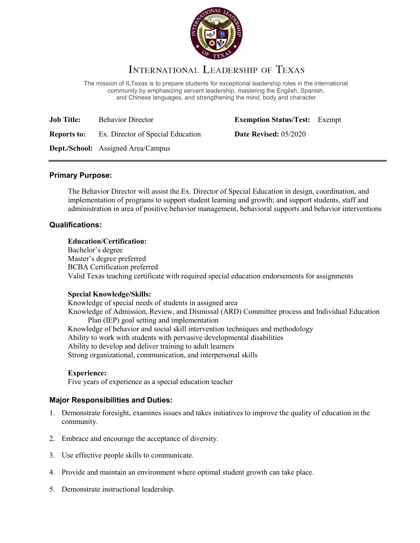

# INTERNATIONAL LEADERSHIP OF TEXAS

The mission of ILTexas is to prepare students for exceptional leadership roles in the international community by emphasizing servant leadership, mastering the English, Spanish, and Chinese languages, and strengthening the mind, body and character.

| <b>Job Title:</b>  | <b>Behavior Director</b>    |
|--------------------|-----------------------------|
| <b>Reports to:</b> | Ex. Director of Special Edu |

**Exemption Status/Test:** Exempt

**Reports to: Reports Trade Revised:** 05/2020

**Dept./School:** Assigned Area/Campus

# **Primary Purpose:**

The Behavior Director will assist the Ex. Director of Special Education in design, coordination, and implementation of programs to support student learning and growth; and support students, staff and administration in area of positive behavior management, behavioral supports and behavior interventions

# **Qualifications:**

## **Education/Certification:**

Bachelor's degree Master's degree preferred BCBA Certification preferred Valid Texas teaching certificate with required special education endorsements for assignments

# **Special Knowledge/Skills:**

Knowledge of special needs of students in assigned area Knowledge of Admission, Review, and Dismissal (ARD) Committee process and Individual Education Plan (IEP) goal setting and implementation Knowledge of behavior and social skill intervention techniques and methodology Ability to work with students with pervasive developmental disabilities Ability to develop and deliver training to adult learners Strong organizational, communication, and interpersonal skills

# **Experience:**

Five years of experience as a special education teacher

# **Major Responsibilities and Duties:**

- 1. Demonstrate foresight, examines issues and takes initiatives to improve the quality of education in the community.
- 2. Embrace and encourage the acceptance of diversity.
- 3. Use effective people skills to communicate.
- 4. Provide and maintain an environment where optimal student growth can take place.
- 5. Demonstrate instructional leadership.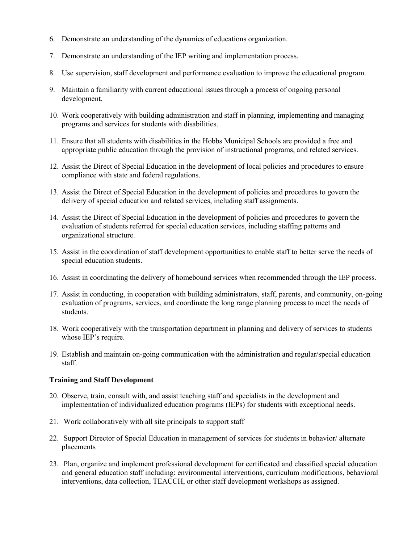- 6. Demonstrate an understanding of the dynamics of educations organization.
- 7. Demonstrate an understanding of the IEP writing and implementation process.
- 8. Use supervision, staff development and performance evaluation to improve the educational program.
- 9. Maintain a familiarity with current educational issues through a process of ongoing personal development.
- 10. Work cooperatively with building administration and staff in planning, implementing and managing programs and services for students with disabilities.
- 11. Ensure that all students with disabilities in the Hobbs Municipal Schools are provided a free and appropriate public education through the provision of instructional programs, and related services.
- 12. Assist the Direct of Special Education in the development of local policies and procedures to ensure compliance with state and federal regulations.
- 13. Assist the Direct of Special Education in the development of policies and procedures to govern the delivery of special education and related services, including staff assignments.
- 14. Assist the Direct of Special Education in the development of policies and procedures to govern the evaluation of students referred for special education services, including staffing patterns and organizational structure.
- 15. Assist in the coordination of staff development opportunities to enable staff to better serve the needs of special education students.
- 16. Assist in coordinating the delivery of homebound services when recommended through the IEP process.
- 17. Assist in conducting, in cooperation with building administrators, staff, parents, and community, on-going evaluation of programs, services, and coordinate the long range planning process to meet the needs of students.
- 18. Work cooperatively with the transportation department in planning and delivery of services to students whose IEP's require.
- 19. Establish and maintain on-going communication with the administration and regular/special education staff.

#### **Training and Staff Development**

- 20. Observe, train, consult with, and assist teaching staff and specialists in the development and implementation of individualized education programs (IEPs) for students with exceptional needs.
- 21. Work collaboratively with all site principals to support staff
- 22. Support Director of Special Education in management of services for students in behavior/ alternate placements
- 23. Plan, organize and implement professional development for certificated and classified special education and general education staff including: environmental interventions, curriculum modifications, behavioral interventions, data collection, TEACCH, or other staff development workshops as assigned.